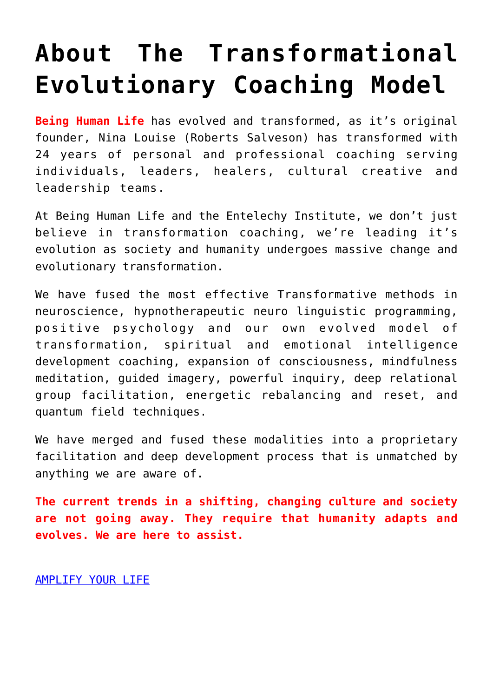# **[About The Transformational](https://beinghumanlife.com/work-with-nina/transformational-coaching-model/) [Evolutionary Coaching Model](https://beinghumanlife.com/work-with-nina/transformational-coaching-model/)**

**Being Human Life** has evolved and transformed, as it's original founder, Nina Louise (Roberts Salveson) has transformed with 24 years of personal and professional coaching serving individuals, leaders, healers, cultural creative and leadership teams.

At Being Human Life and the Entelechy Institute, we don't just believe in transformation coaching, we're leading it's evolution as society and humanity undergoes massive change and evolutionary transformation.

We have fused the most effective Transformative methods in neuroscience, hypnotherapeutic neuro linguistic programming, positive psychology and our own evolved model of transformation, spiritual and emotional intelligence development coaching, expansion of consciousness, mindfulness meditation, guided imagery, powerful inquiry, deep relational group facilitation, energetic rebalancing and reset, and quantum field techniques.

We have merged and fused these modalities into a proprietary facilitation and deep development process that is unmatched by anything we are aware of.

**The current trends in a shifting, changing culture and society are not going away. They require that humanity adapts and evolves. We are here to assist.**

[AMPLIFY YOUR LIFE](http://beinghumanlife.com/work-with-nina/)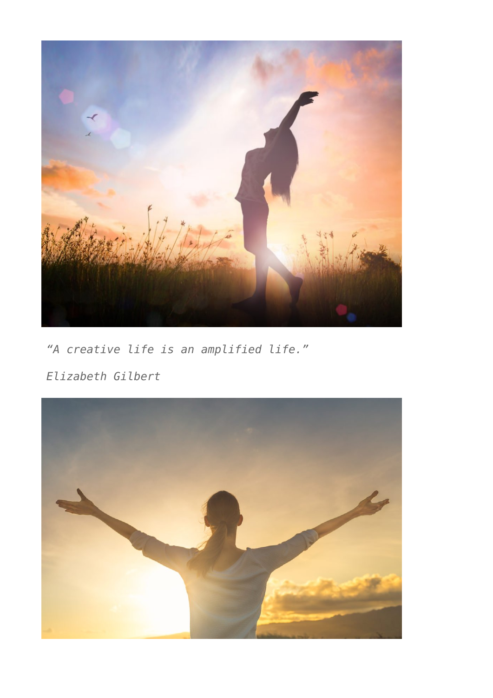

*"A creative life is an amplified life."*

*Elizabeth Gilbert*

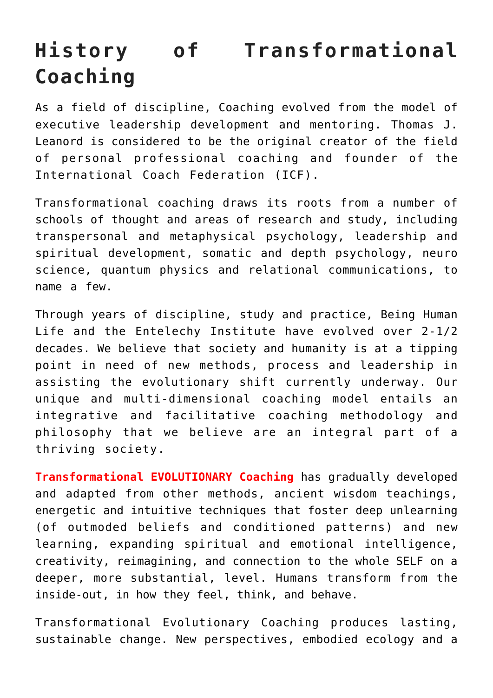# **History of Transformational Coaching**

As a field of discipline, Coaching evolved from the model of executive leadership development and mentoring. Thomas J. Leanord is considered to be the original creator of the field of personal professional coaching and founder of the International Coach Federation (ICF).

Transformational coaching draws its roots from a number of schools of thought and areas of research and study, including transpersonal and metaphysical psychology, leadership and spiritual development, somatic and depth psychology, neuro science, quantum physics and relational communications, to name a few.

Through years of discipline, study and practice, Being Human Life and the Entelechy Institute have evolved over 2-1/2 decades. We believe that society and humanity is at a tipping point in need of new methods, process and leadership in assisting the evolutionary shift currently underway. Our unique and multi-dimensional coaching model entails an integrative and facilitative coaching methodology and philosophy that we believe are an integral part of a thriving society.

**Transformational EVOLUTIONARY Coaching** has gradually developed and adapted from other methods, ancient wisdom teachings, energetic and intuitive techniques that foster deep unlearning (of outmoded beliefs and conditioned patterns) and new learning, expanding spiritual and emotional intelligence, creativity, reimagining, and connection to the whole SELF on a deeper, more substantial, level. Humans transform from the inside-out, in how they feel, think, and behave.

Transformational Evolutionary Coaching produces lasting, sustainable change. New perspectives, embodied ecology and a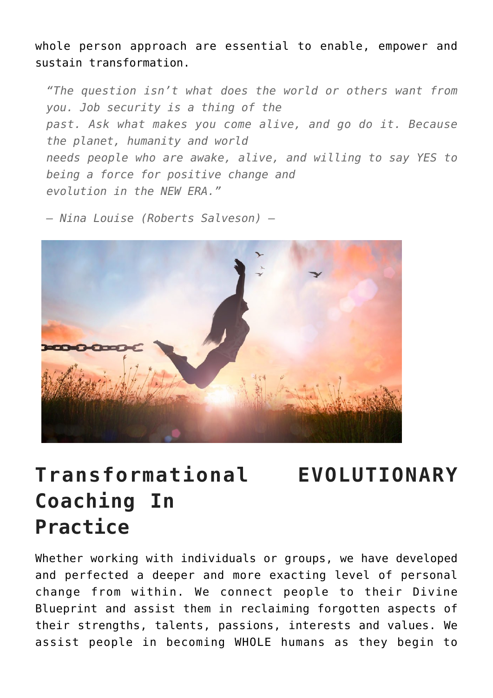whole person approach are essential to enable, empower and sustain transformation.

*"The question isn't what does the world or others want from you. Job security is a thing of the past. Ask what makes you come alive, and go do it. Because the planet, humanity and world needs people who are awake, alive, and willing to say YES to being a force for positive change and evolution in the NEW ERA."*

*— Nina Louise (Roberts Salveson) —*



## **Transformational EVOLUTIONARY Coaching In Practice**

Whether working with individuals or groups, we have developed and perfected a deeper and more exacting level of personal change from within. We connect people to their Divine Blueprint and assist them in reclaiming forgotten aspects of their strengths, talents, passions, interests and values. We assist people in becoming WHOLE humans as they begin to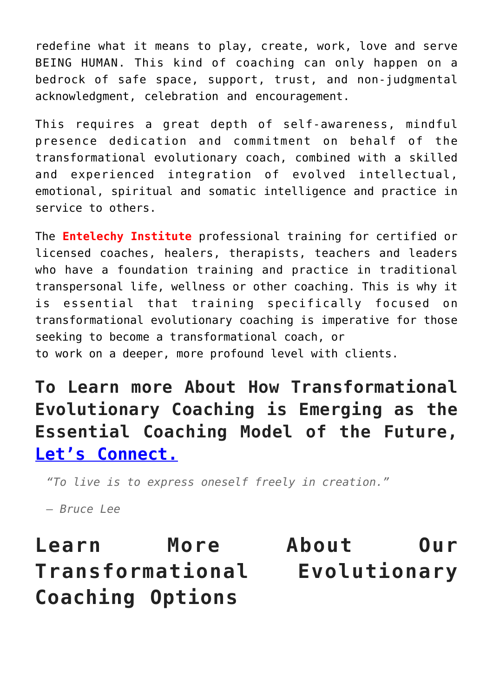redefine what it means to play, create, work, love and serve BEING HUMAN. This kind of coaching can only happen on a bedrock of safe space, support, trust, and non-judgmental acknowledgment, celebration and encouragement.

This requires a great depth of self-awareness, mindful presence dedication and commitment on behalf of the transformational evolutionary coach, combined with a skilled and experienced integration of evolved intellectual, emotional, spiritual and somatic intelligence and practice in service to others.

The **Entelechy Institute** professional training for certified or licensed coaches, healers, therapists, teachers and leaders who have a foundation training and practice in traditional transpersonal life, wellness or other coaching. This is why it is essential that training specifically focused on transformational evolutionary coaching is imperative for those seeking to become a transformational coach, or to work on a deeper, more profound level with clients.

**To Learn more About How Transformational Evolutionary Coaching is Emerging as the Essential Coaching Model of the Future, [Let's Connect.](http://beinghumanlife.com/contact/)**

*"To live is to express oneself freely in creation."*

*– Bruce Lee*

#### **Learn More About Our Transformational Evolutionary Coaching Options**